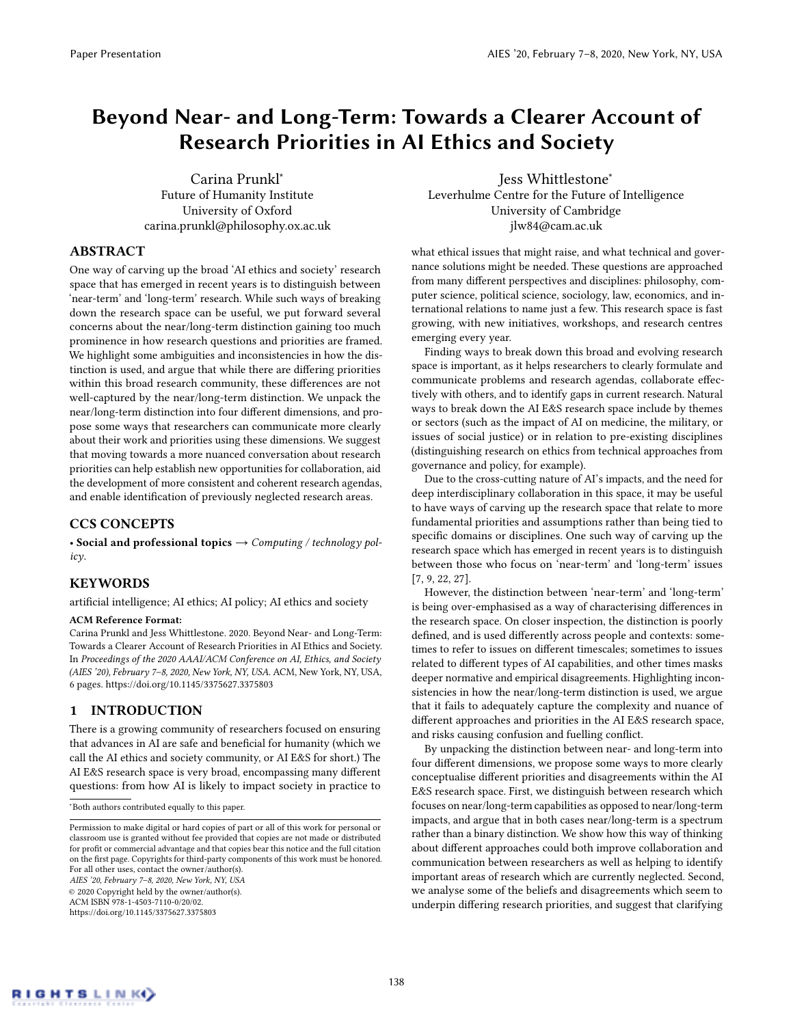# Beyond Near- and Long-Term: Towards a Clearer Account of Research Priorities in AI Ethics and Society

Carina Prunkl<sup>∗</sup> Future of Humanity Institute University of Oxford carina.prunkl@philosophy.ox.ac.uk

### ABSTRACT

One way of carving up the broad 'AI ethics and society' research space that has emerged in recent years is to distinguish between 'near-term' and 'long-term' research. While such ways of breaking down the research space can be useful, we put forward several concerns about the near/long-term distinction gaining too much prominence in how research questions and priorities are framed. We highlight some ambiguities and inconsistencies in how the distinction is used, and argue that while there are differing priorities within this broad research community, these differences are not well-captured by the near/long-term distinction. We unpack the near/long-term distinction into four different dimensions, and propose some ways that researchers can communicate more clearly about their work and priorities using these dimensions. We suggest that moving towards a more nuanced conversation about research priorities can help establish new opportunities for collaboration, aid the development of more consistent and coherent research agendas, and enable identification of previously neglected research areas.

# CCS CONCEPTS

• Social and professional topics  $\rightarrow$  Computing / technology policy.

# **KEYWORDS**

artificial intelligence; AI ethics; AI policy; AI ethics and society

#### ACM Reference Format:

Carina Prunkl and Jess Whittlestone. 2020. Beyond Near- and Long-Term: Towards a Clearer Account of Research Priorities in AI Ethics and Society. In Proceedings of the 2020 AAAI/ACM Conference on AI, Ethics, and Society (AIES '20), February 7–8, 2020, New York, NY, USA. ACM, New York, NY, USA, [6](#page-5-0) pages.<https://doi.org/10.1145/3375627.3375803>

# 1 INTRODUCTION

There is a growing community of researchers focused on ensuring that advances in AI are safe and beneficial for humanity (which we call the AI ethics and society community, or AI E&S for short.) The AI E&S research space is very broad, encompassing many different questions: from how AI is likely to impact society in practice to

<sup>∗</sup>Both authors contributed equally to this paper.

AIES '20, February 7–8, 2020, New York, NY, USA

© 2020 Copyright held by the owner/author(s).

ACM ISBN 978-1-4503-7110-0/20/02.

<https://doi.org/10.1145/3375627.3375803>

Jess Whittlestone<sup>∗</sup> Leverhulme Centre for the Future of Intelligence University of Cambridge jlw84@cam.ac.uk

what ethical issues that might raise, and what technical and governance solutions might be needed. These questions are approached from many different perspectives and disciplines: philosophy, computer science, political science, sociology, law, economics, and international relations to name just a few. This research space is fast growing, with new initiatives, workshops, and research centres emerging every year.

Finding ways to break down this broad and evolving research space is important, as it helps researchers to clearly formulate and communicate problems and research agendas, collaborate effectively with others, and to identify gaps in current research. Natural ways to break down the AI E&S research space include by themes or sectors (such as the impact of AI on medicine, the military, or issues of social justice) or in relation to pre-existing disciplines (distinguishing research on ethics from technical approaches from governance and policy, for example).

Due to the cross-cutting nature of AI's impacts, and the need for deep interdisciplinary collaboration in this space, it may be useful to have ways of carving up the research space that relate to more fundamental priorities and assumptions rather than being tied to specific domains or disciplines. One such way of carving up the research space which has emerged in recent years is to distinguish between those who focus on 'near-term' and 'long-term' issues [\[7,](#page-5-1) [9,](#page-5-2) [22,](#page-5-3) [27\]](#page-5-4).

However, the distinction between 'near-term' and 'long-term' is being over-emphasised as a way of characterising differences in the research space. On closer inspection, the distinction is poorly defined, and is used differently across people and contexts: sometimes to refer to issues on different timescales; sometimes to issues related to different types of AI capabilities, and other times masks deeper normative and empirical disagreements. Highlighting inconsistencies in how the near/long-term distinction is used, we argue that it fails to adequately capture the complexity and nuance of different approaches and priorities in the AI E&S research space, and risks causing confusion and fuelling conflict.

By unpacking the distinction between near- and long-term into four different dimensions, we propose some ways to more clearly conceptualise different priorities and disagreements within the AI E&S research space. First, we distinguish between research which focuses on near/long-term capabilities as opposed to near/long-term impacts, and argue that in both cases near/long-term is a spectrum rather than a binary distinction. We show how this way of thinking about different approaches could both improve collaboration and communication between researchers as well as helping to identify important areas of research which are currently neglected. Second, we analyse some of the beliefs and disagreements which seem to underpin differing research priorities, and suggest that clarifying

Permission to make digital or hard copies of part or all of this work for personal or classroom use is granted without fee provided that copies are not made or distributed for profit or commercial advantage and that copies bear this notice and the full citation on the first page. Copyrights for third-party components of this work must be honored. For all other uses, contact the owner/author(s).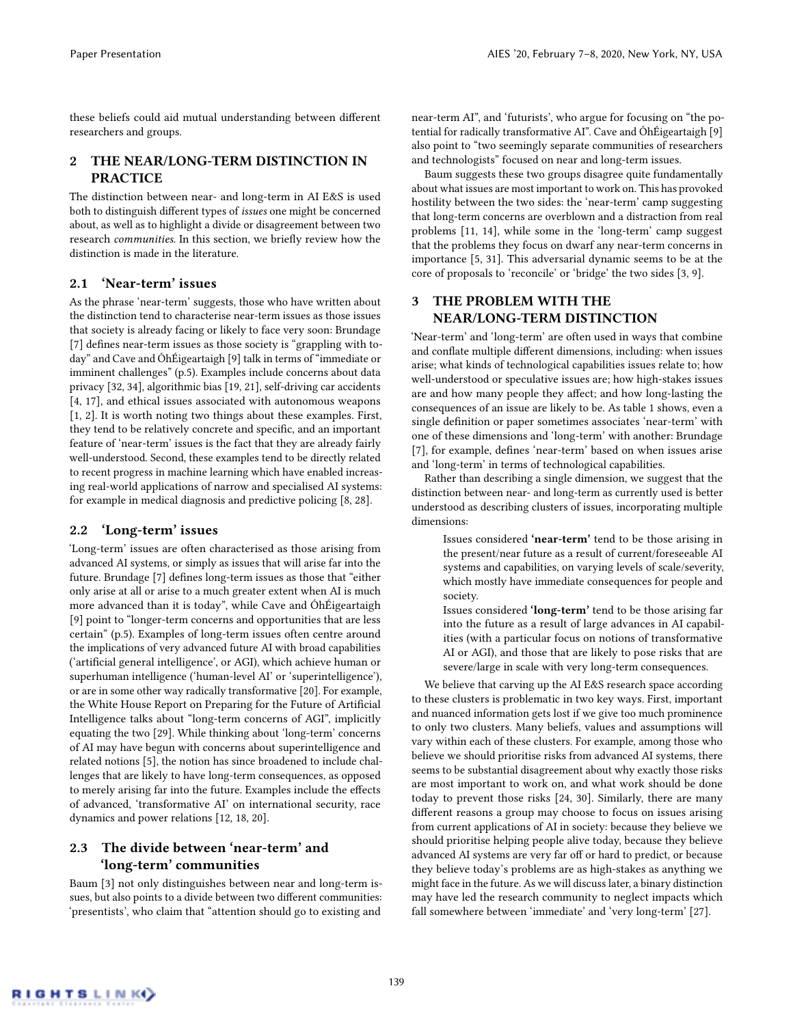these beliefs could aid mutual understanding between different researchers and groups.

# 2 THE NEAR/LONG-TERM DISTINCTION IN PRACTICE

The distinction between near- and long-term in AI E&S is used both to distinguish different types of issues one might be concerned about, as well as to highlight a divide or disagreement between two research communities. In this section, we briefly review how the distinction is made in the literature.

### 2.1 'Near-term' issues

As the phrase 'near-term' suggests, those who have written about the distinction tend to characterise near-term issues as those issues that society is already facing or likely to face very soon: Brundage [\[7\]](#page-5-1) defines near-term issues as those society is "grappling with today" and Cave and ÓhÉigeartaigh [\[9\]](#page-5-2) talk in terms of "immediate or imminent challenges" (p.5). Examples include concerns about data privacy [\[32,](#page-5-5) [34\]](#page-5-6), algorithmic bias [\[19,](#page-5-7) [21\]](#page-5-8), self-driving car accidents [\[4,](#page-5-9) [17\]](#page-5-10), and ethical issues associated with autonomous weapons [\[1,](#page-5-11) [2\]](#page-5-12). It is worth noting two things about these examples. First, they tend to be relatively concrete and specific, and an important feature of 'near-term' issues is the fact that they are already fairly well-understood. Second, these examples tend to be directly related to recent progress in machine learning which have enabled increasing real-world applications of narrow and specialised AI systems: for example in medical diagnosis and predictive policing [\[8,](#page-5-13) [28\]](#page-5-14).

# 2.2 'Long-term' issues

'Long-term' issues are often characterised as those arising from advanced AI systems, or simply as issues that will arise far into the future. Brundage [\[7\]](#page-5-1) defines long-term issues as those that "either only arise at all or arise to a much greater extent when AI is much more advanced than it is today", while Cave and ÓhÉigeartaigh [\[9\]](#page-5-2) point to "longer-term concerns and opportunities that are less certain" (p.5). Examples of long-term issues often centre around the implications of very advanced future AI with broad capabilities ('artificial general intelligence', or AGI), which achieve human or superhuman intelligence ('human-level AI' or 'superintelligence'), or are in some other way radically transformative [\[20\]](#page-5-15). For example, the White House Report on Preparing for the Future of Artificial Intelligence talks about "long-term concerns of AGI", implicitly equating the two [\[29\]](#page-5-16). While thinking about 'long-term' concerns of AI may have begun with concerns about superintelligence and related notions [\[5\]](#page-5-17), the notion has since broadened to include challenges that are likely to have long-term consequences, as opposed to merely arising far into the future. Examples include the effects of advanced, 'transformative AI' on international security, race dynamics and power relations [\[12,](#page-5-18) [18,](#page-5-19) [20\]](#page-5-15).

# 2.3 The divide between 'near-term' and 'long-term' communities

Baum [\[3\]](#page-5-20) not only distinguishes between near and long-term issues, but also points to a divide between two different communities: 'presentists', who claim that "attention should go to existing and

near-term AI", and 'futurists', who argue for focusing on "the potential for radically transformative AI". Cave and ÓhÉigeartaigh [\[9\]](#page-5-2) also point to "two seemingly separate communities of researchers and technologists" focused on near and long-term issues.

Baum suggests these two groups disagree quite fundamentally about what issues are most important to work on. This has provoked hostility between the two sides: the 'near-term' camp suggesting that long-term concerns are overblown and a distraction from real problems [\[11,](#page-5-21) [14\]](#page-5-22), while some in the 'long-term' camp suggest that the problems they focus on dwarf any near-term concerns in importance [\[5,](#page-5-17) [31\]](#page-5-23). This adversarial dynamic seems to be at the core of proposals to 'reconcile' or 'bridge' the two sides [\[3,](#page-5-20) [9\]](#page-5-2).

# 3 THE PROBLEM WITH THE NEAR/LONG-TERM DISTINCTION

'Near-term' and 'long-term' are often used in ways that combine and conflate multiple different dimensions, including: when issues arise; what kinds of technological capabilities issues relate to; how well-understood or speculative issues are; how high-stakes issues are and how many people they affect; and how long-lasting the consequences of an issue are likely to be. As table [1](#page-3-0) shows, even a single definition or paper sometimes associates 'near-term' with one of these dimensions and 'long-term' with another: Brundage [\[7\]](#page-5-1), for example, defines 'near-term' based on when issues arise and 'long-term' in terms of technological capabilities.

Rather than describing a single dimension, we suggest that the distinction between near- and long-term as currently used is better understood as describing clusters of issues, incorporating multiple dimensions:

> Issues considered 'near-term' tend to be those arising in the present/near future as a result of current/foreseeable AI systems and capabilities, on varying levels of scale/severity, which mostly have immediate consequences for people and society.

> Issues considered 'long-term' tend to be those arising far into the future as a result of large advances in AI capabilities (with a particular focus on notions of transformative AI or AGI), and those that are likely to pose risks that are severe/large in scale with very long-term consequences.

We believe that carving up the AI E&S research space according to these clusters is problematic in two key ways. First, important and nuanced information gets lost if we give too much prominence to only two clusters. Many beliefs, values and assumptions will vary within each of these clusters. For example, among those who believe we should prioritise risks from advanced AI systems, there seems to be substantial disagreement about why exactly those risks are most important to work on, and what work should be done today to prevent those risks [\[24,](#page-5-24) [30\]](#page-5-25). Similarly, there are many different reasons a group may choose to focus on issues arising from current applications of AI in society: because they believe we should prioritise helping people alive today, because they believe advanced AI systems are very far off or hard to predict, or because they believe today's problems are as high-stakes as anything we might face in the future. As we will discuss later, a binary distinction may have led the research community to neglect impacts which fall somewhere between 'immediate' and 'very long-term' [\[27\]](#page-5-4).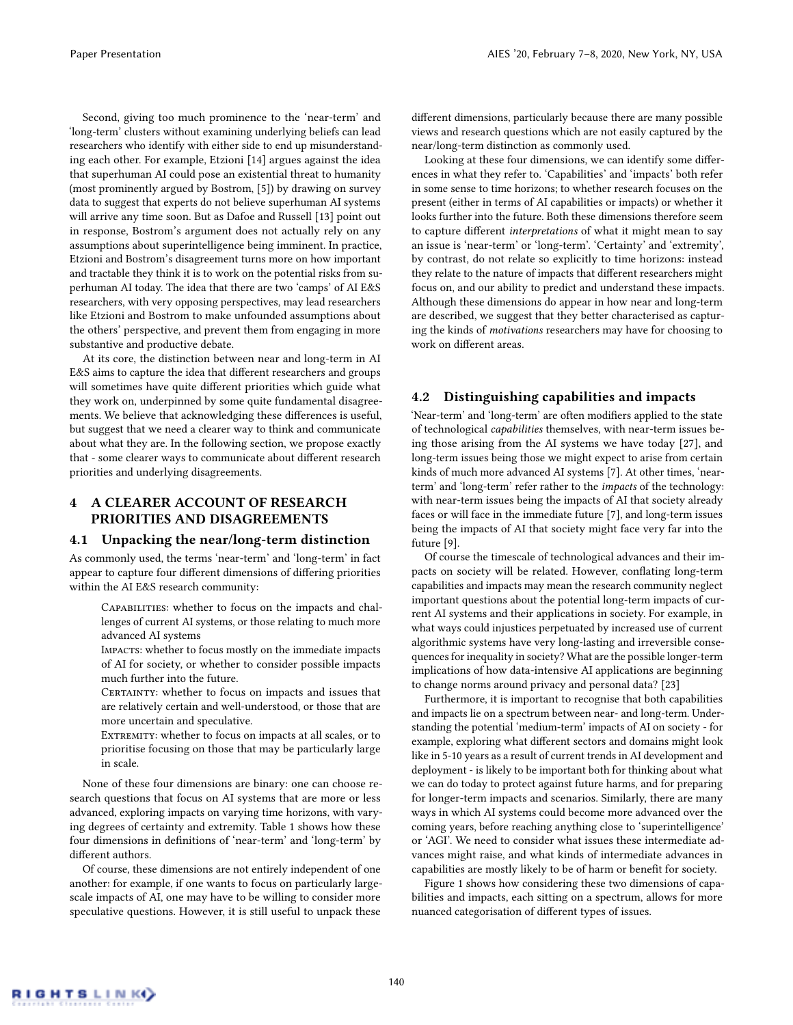Second, giving too much prominence to the 'near-term' and 'long-term' clusters without examining underlying beliefs can lead researchers who identify with either side to end up misunderstanding each other. For example, Etzioni [\[14\]](#page-5-22) argues against the idea that superhuman AI could pose an existential threat to humanity (most prominently argued by Bostrom, [\[5\]](#page-5-17)) by drawing on survey data to suggest that experts do not believe superhuman AI systems will arrive any time soon. But as Dafoe and Russell [\[13\]](#page-5-26) point out in response, Bostrom's argument does not actually rely on any assumptions about superintelligence being imminent. In practice, Etzioni and Bostrom's disagreement turns more on how important and tractable they think it is to work on the potential risks from superhuman AI today. The idea that there are two 'camps' of AI E&S researchers, with very opposing perspectives, may lead researchers like Etzioni and Bostrom to make unfounded assumptions about the others' perspective, and prevent them from engaging in more substantive and productive debate.

At its core, the distinction between near and long-term in AI E&S aims to capture the idea that different researchers and groups will sometimes have quite different priorities which guide what they work on, underpinned by some quite fundamental disagreements. We believe that acknowledging these differences is useful, but suggest that we need a clearer way to think and communicate about what they are. In the following section, we propose exactly that - some clearer ways to communicate about different research priorities and underlying disagreements.

# 4 A CLEARER ACCOUNT OF RESEARCH PRIORITIES AND DISAGREEMENTS

#### 4.1 Unpacking the near/long-term distinction

As commonly used, the terms 'near-term' and 'long-term' in fact appear to capture four different dimensions of differing priorities within the AI E&S research community:

Capabilities: whether to focus on the impacts and challenges of current AI systems, or those relating to much more advanced AI systems

Impacts: whether to focus mostly on the immediate impacts of AI for society, or whether to consider possible impacts much further into the future.

CERTAINTY: whether to focus on impacts and issues that are relatively certain and well-understood, or those that are more uncertain and speculative.

EXTREMITY: whether to focus on impacts at all scales, or to prioritise focusing on those that may be particularly large in scale.

None of these four dimensions are binary: one can choose research questions that focus on AI systems that are more or less advanced, exploring impacts on varying time horizons, with varying degrees of certainty and extremity. Table [1](#page-3-0) shows how these four dimensions in definitions of 'near-term' and 'long-term' by different authors.

Of course, these dimensions are not entirely independent of one another: for example, if one wants to focus on particularly largescale impacts of AI, one may have to be willing to consider more speculative questions. However, it is still useful to unpack these

different dimensions, particularly because there are many possible views and research questions which are not easily captured by the near/long-term distinction as commonly used.

Looking at these four dimensions, we can identify some differences in what they refer to. 'Capabilities' and 'impacts' both refer in some sense to time horizons; to whether research focuses on the present (either in terms of AI capabilities or impacts) or whether it looks further into the future. Both these dimensions therefore seem to capture different interpretations of what it might mean to say an issue is 'near-term' or 'long-term'. 'Certainty' and 'extremity', by contrast, do not relate so explicitly to time horizons: instead they relate to the nature of impacts that different researchers might focus on, and our ability to predict and understand these impacts. Although these dimensions do appear in how near and long-term are described, we suggest that they better characterised as capturing the kinds of motivations researchers may have for choosing to work on different areas.

# 4.2 Distinguishing capabilities and impacts

'Near-term' and 'long-term' are often modifiers applied to the state of technological capabilities themselves, with near-term issues being those arising from the AI systems we have today [\[27\]](#page-5-4), and long-term issues being those we might expect to arise from certain kinds of much more advanced AI systems [\[7\]](#page-5-1). At other times, 'nearterm' and 'long-term' refer rather to the impacts of the technology: with near-term issues being the impacts of AI that society already faces or will face in the immediate future [\[7\]](#page-5-1), and long-term issues being the impacts of AI that society might face very far into the future [\[9\]](#page-5-2).

Of course the timescale of technological advances and their impacts on society will be related. However, conflating long-term capabilities and impacts may mean the research community neglect important questions about the potential long-term impacts of current AI systems and their applications in society. For example, in what ways could injustices perpetuated by increased use of current algorithmic systems have very long-lasting and irreversible consequences for inequality in society? What are the possible longer-term implications of how data-intensive AI applications are beginning to change norms around privacy and personal data? [\[23\]](#page-5-27)

Furthermore, it is important to recognise that both capabilities and impacts lie on a spectrum between near- and long-term. Understanding the potential 'medium-term' impacts of AI on society - for example, exploring what different sectors and domains might look like in 5-10 years as a result of current trends in AI development and deployment - is likely to be important both for thinking about what we can do today to protect against future harms, and for preparing for longer-term impacts and scenarios. Similarly, there are many ways in which AI systems could become more advanced over the coming years, before reaching anything close to 'superintelligence' or 'AGI'. We need to consider what issues these intermediate advances might raise, and what kinds of intermediate advances in capabilities are mostly likely to be of harm or benefit for society.

Figure [1](#page-4-0) shows how considering these two dimensions of capabilities and impacts, each sitting on a spectrum, allows for more nuanced categorisation of different types of issues.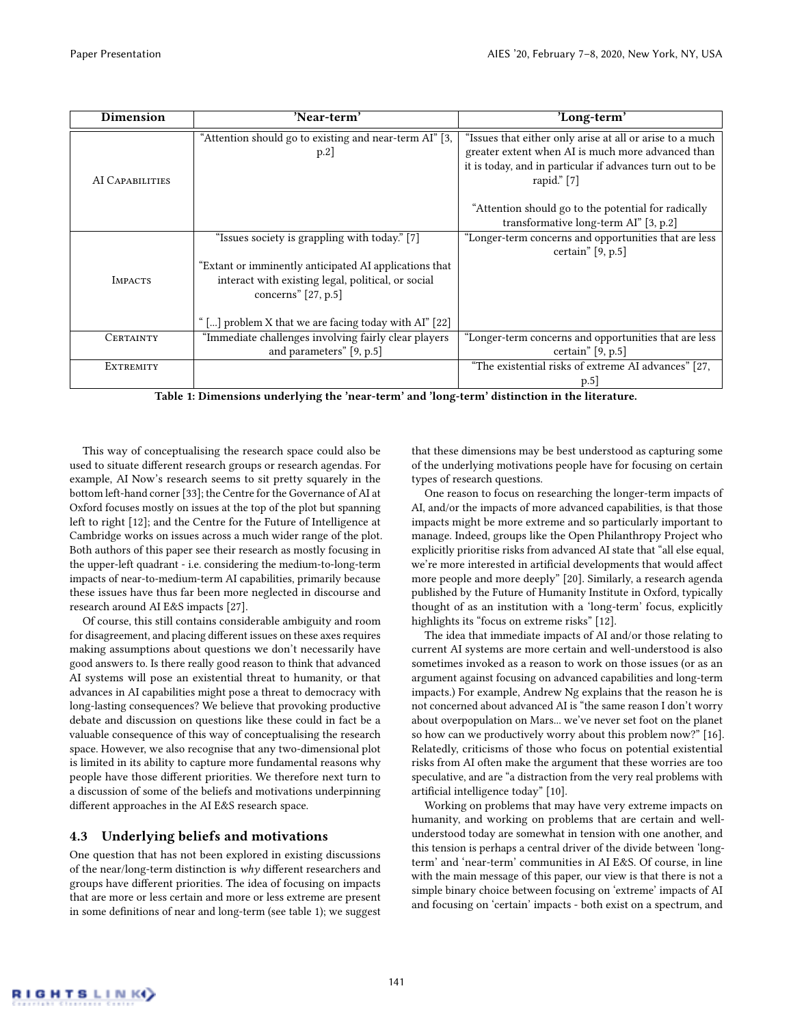<span id="page-3-0"></span>

| Dimension        | 'Near-term'                                                   | 'Long-term'                                                                                                   |
|------------------|---------------------------------------------------------------|---------------------------------------------------------------------------------------------------------------|
|                  | "Attention should go to existing and near-term AI" [3,<br>p.2 | "Issues that either only arise at all or arise to a much<br>greater extent when AI is much more advanced than |
| AI CAPABILITIES  |                                                               | it is today, and in particular if advances turn out to be<br>rapid." $[7]$                                    |
|                  |                                                               | "Attention should go to the potential for radically<br>transformative long-term AI" [3, p.2]                  |
|                  | "Issues society is grappling with today." [7]                 | "Longer-term concerns and opportunities that are less<br>certain" $[9, p.5]$                                  |
|                  | "Extant or imminently anticipated AI applications that        |                                                                                                               |
| <b>IMPACTS</b>   | interact with existing legal, political, or social            |                                                                                                               |
|                  | concerns" [27, p.5]                                           |                                                                                                               |
|                  | "[] problem X that we are facing today with AI" [22]          |                                                                                                               |
| <b>CERTAINTY</b> | "Immediate challenges involving fairly clear players          | "Longer-term concerns and opportunities that are less                                                         |
|                  | and parameters" [9, p.5]                                      | certain" $[9, p.5]$                                                                                           |
| EXTREMITY        |                                                               | "The existential risks of extreme AI advances" [27,                                                           |
|                  |                                                               | p.5                                                                                                           |

Table 1: Dimensions underlying the 'near-term' and 'long-term' distinction in the literature.

This way of conceptualising the research space could also be used to situate different research groups or research agendas. For example, AI Now's research seems to sit pretty squarely in the bottom left-hand corner [\[33\]](#page-5-28); the Centre for the Governance of AI at Oxford focuses mostly on issues at the top of the plot but spanning left to right [\[12\]](#page-5-18); and the Centre for the Future of Intelligence at Cambridge works on issues across a much wider range of the plot. Both authors of this paper see their research as mostly focusing in the upper-left quadrant - i.e. considering the medium-to-long-term impacts of near-to-medium-term AI capabilities, primarily because these issues have thus far been more neglected in discourse and research around AI E&S impacts [\[27\]](#page-5-4).

Of course, this still contains considerable ambiguity and room for disagreement, and placing different issues on these axes requires making assumptions about questions we don't necessarily have good answers to. Is there really good reason to think that advanced AI systems will pose an existential threat to humanity, or that advances in AI capabilities might pose a threat to democracy with long-lasting consequences? We believe that provoking productive debate and discussion on questions like these could in fact be a valuable consequence of this way of conceptualising the research space. However, we also recognise that any two-dimensional plot is limited in its ability to capture more fundamental reasons why people have those different priorities. We therefore next turn to a discussion of some of the beliefs and motivations underpinning different approaches in the AI E&S research space.

# 4.3 Underlying beliefs and motivations

One question that has not been explored in existing discussions of the near/long-term distinction is why different researchers and groups have different priorities. The idea of focusing on impacts that are more or less certain and more or less extreme are present in some definitions of near and long-term (see table [1\)](#page-3-0); we suggest that these dimensions may be best understood as capturing some of the underlying motivations people have for focusing on certain types of research questions.

One reason to focus on researching the longer-term impacts of AI, and/or the impacts of more advanced capabilities, is that those impacts might be more extreme and so particularly important to manage. Indeed, groups like the Open Philanthropy Project who explicitly prioritise risks from advanced AI state that "all else equal, we're more interested in artificial developments that would affect more people and more deeply" [\[20\]](#page-5-15). Similarly, a research agenda published by the Future of Humanity Institute in Oxford, typically thought of as an institution with a 'long-term' focus, explicitly highlights its "focus on extreme risks" [\[12\]](#page-5-18).

The idea that immediate impacts of AI and/or those relating to current AI systems are more certain and well-understood is also sometimes invoked as a reason to work on those issues (or as an argument against focusing on advanced capabilities and long-term impacts.) For example, Andrew Ng explains that the reason he is not concerned about advanced AI is "the same reason I don't worry about overpopulation on Mars... we've never set foot on the planet so how can we productively worry about this problem now?" [\[16\]](#page-5-29). Relatedly, criticisms of those who focus on potential existential risks from AI often make the argument that these worries are too speculative, and are "a distraction from the very real problems with artificial intelligence today" [\[10\]](#page-5-30).

Working on problems that may have very extreme impacts on humanity, and working on problems that are certain and wellunderstood today are somewhat in tension with one another, and this tension is perhaps a central driver of the divide between 'longterm' and 'near-term' communities in AI E&S. Of course, in line with the main message of this paper, our view is that there is not a simple binary choice between focusing on 'extreme' impacts of AI and focusing on 'certain' impacts - both exist on a spectrum, and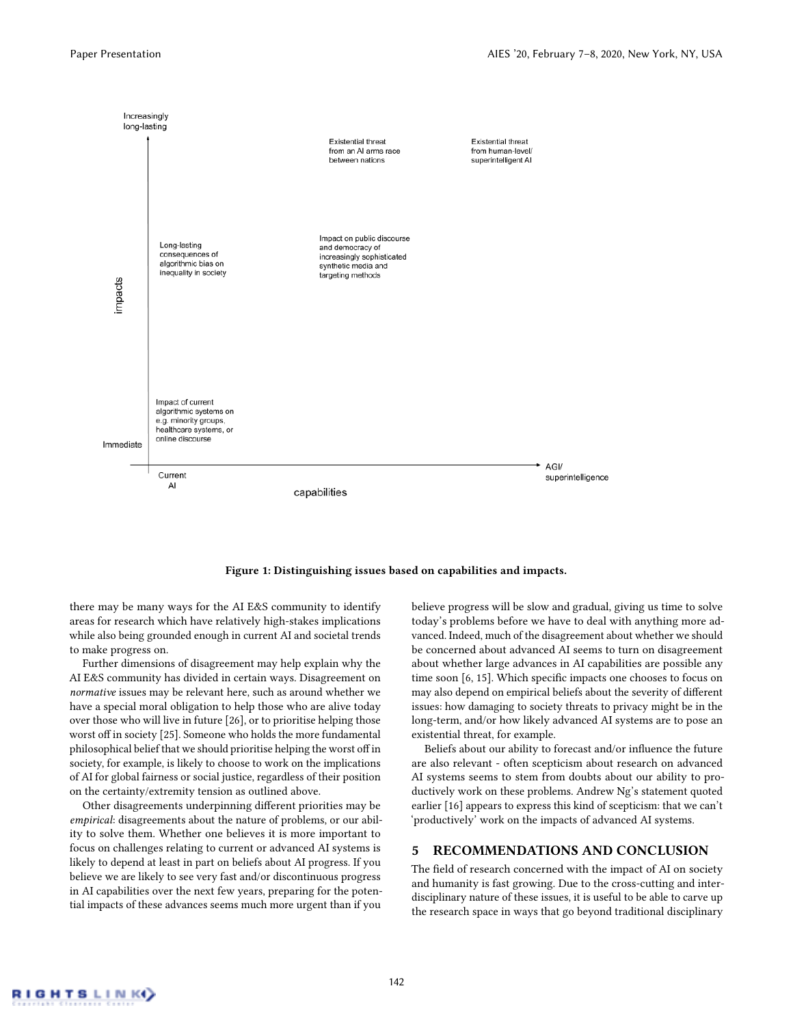<span id="page-4-0"></span>

Figure 1: Distinguishing issues based on capabilities and impacts.

there may be many ways for the AI E&S community to identify areas for research which have relatively high-stakes implications while also being grounded enough in current AI and societal trends to make progress on.

Further dimensions of disagreement may help explain why the AI E&S community has divided in certain ways. Disagreement on normative issues may be relevant here, such as around whether we have a special moral obligation to help those who are alive today over those who will live in future [\[26\]](#page-5-31), or to prioritise helping those worst off in society [\[25\]](#page-5-32). Someone who holds the more fundamental philosophical belief that we should prioritise helping the worst off in society, for example, is likely to choose to work on the implications of AI for global fairness or social justice, regardless of their position on the certainty/extremity tension as outlined above.

Other disagreements underpinning different priorities may be empirical: disagreements about the nature of problems, or our ability to solve them. Whether one believes it is more important to focus on challenges relating to current or advanced AI systems is likely to depend at least in part on beliefs about AI progress. If you believe we are likely to see very fast and/or discontinuous progress in AI capabilities over the next few years, preparing for the potential impacts of these advances seems much more urgent than if you

believe progress will be slow and gradual, giving us time to solve today's problems before we have to deal with anything more advanced. Indeed, much of the disagreement about whether we should be concerned about advanced AI seems to turn on disagreement about whether large advances in AI capabilities are possible any time soon [\[6,](#page-5-33) [15\]](#page-5-34). Which specific impacts one chooses to focus on may also depend on empirical beliefs about the severity of different issues: how damaging to society threats to privacy might be in the long-term, and/or how likely advanced AI systems are to pose an existential threat, for example.

Beliefs about our ability to forecast and/or influence the future are also relevant - often scepticism about research on advanced AI systems seems to stem from doubts about our ability to productively work on these problems. Andrew Ng's statement quoted earlier [\[16\]](#page-5-29) appears to express this kind of scepticism: that we can't 'productively' work on the impacts of advanced AI systems.

#### 5 RECOMMENDATIONS AND CONCLUSION

The field of research concerned with the impact of AI on society and humanity is fast growing. Due to the cross-cutting and interdisciplinary nature of these issues, it is useful to be able to carve up the research space in ways that go beyond traditional disciplinary